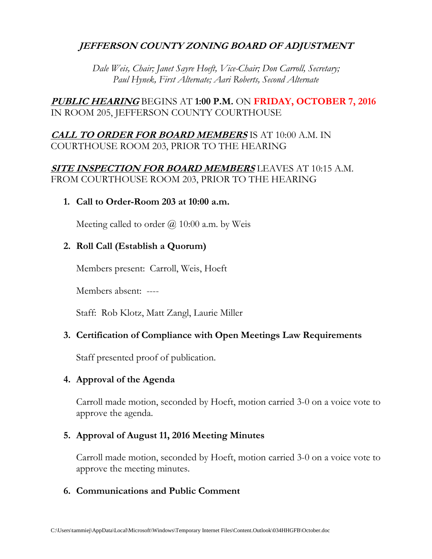# **JEFFERSON COUNTY ZONING BOARD OF ADJUSTMENT**

*Dale Weis, Chair; Janet Sayre Hoeft, Vice-Chair; Don Carroll, Secretary; Paul Hynek, First Alternate; Aari Roberts, Second Alternate*

# **PUBLIC HEARING** BEGINS AT **1:00 P.M.** ON **FRIDAY, OCTOBER 7, 2016** IN ROOM 205, JEFFERSON COUNTY COURTHOUSE

# **CALL TO ORDER FOR BOARD MEMBERS** IS AT 10:00 A.M. IN COURTHOUSE ROOM 203, PRIOR TO THE HEARING

# **SITE INSPECTION FOR BOARD MEMBERS** LEAVES AT 10:15 A.M. FROM COURTHOUSE ROOM 203, PRIOR TO THE HEARING

#### **1. Call to Order-Room 203 at 10:00 a.m.**

Meeting called to order  $\omega$  10:00 a.m. by Weis

## **2. Roll Call (Establish a Quorum)**

Members present: Carroll, Weis, Hoeft

Members absent: ----

Staff: Rob Klotz, Matt Zangl, Laurie Miller

## **3. Certification of Compliance with Open Meetings Law Requirements**

Staff presented proof of publication.

## **4. Approval of the Agenda**

Carroll made motion, seconded by Hoeft, motion carried 3-0 on a voice vote to approve the agenda.

## **5. Approval of August 11, 2016 Meeting Minutes**

Carroll made motion, seconded by Hoeft, motion carried 3-0 on a voice vote to approve the meeting minutes.

#### **6. Communications and Public Comment**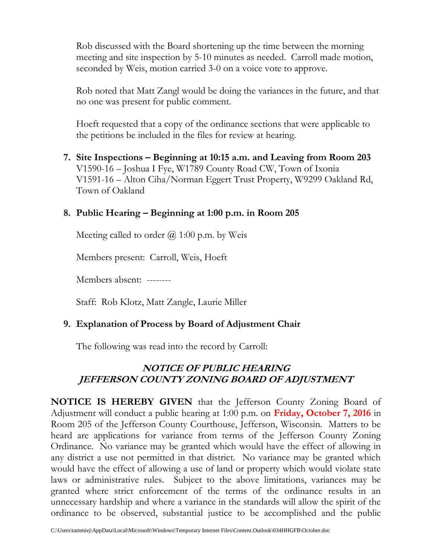Rob discussed with the Board shortening up the time between the morning meeting and site inspection by 5-10 minutes as needed. Carroll made motion, seconded by Weis, motion carried 3-0 on a voice vote to approve.

Rob noted that Matt Zangl would be doing the variances in the future, and that no one was present for public comment.

Hoeft requested that a copy of the ordinance sections that were applicable to the petitions be included in the files for review at hearing.

**7. Site Inspections – Beginning at 10:15 a.m. and Leaving from Room 203** V1590-16 – Joshua I Fye, W1789 County Road CW, Town of Ixonia V1591-16 – Alton Ciha/Norman Eggert Trust Property, W9299 Oakland Rd, Town of Oakland

#### **8. Public Hearing – Beginning at 1:00 p.m. in Room 205**

Meeting called to order  $\omega$  1:00 p.m. by Weis

Members present: Carroll, Weis, Hoeft

Members absent: --------

Staff: Rob Klotz, Matt Zangle, Laurie Miller

## **9. Explanation of Process by Board of Adjustment Chair**

The following was read into the record by Carroll:

# **NOTICE OF PUBLIC HEARING JEFFERSON COUNTY ZONING BOARD OF ADJUSTMENT**

**NOTICE IS HEREBY GIVEN** that the Jefferson County Zoning Board of Adjustment will conduct a public hearing at 1:00 p.m. on **Friday, October 7, 2016** in Room 205 of the Jefferson County Courthouse, Jefferson, Wisconsin. Matters to be heard are applications for variance from terms of the Jefferson County Zoning Ordinance. No variance may be granted which would have the effect of allowing in any district a use not permitted in that district. No variance may be granted which would have the effect of allowing a use of land or property which would violate state laws or administrative rules. Subject to the above limitations, variances may be granted where strict enforcement of the terms of the ordinance results in an unnecessary hardship and where a variance in the standards will allow the spirit of the ordinance to be observed, substantial justice to be accomplished and the public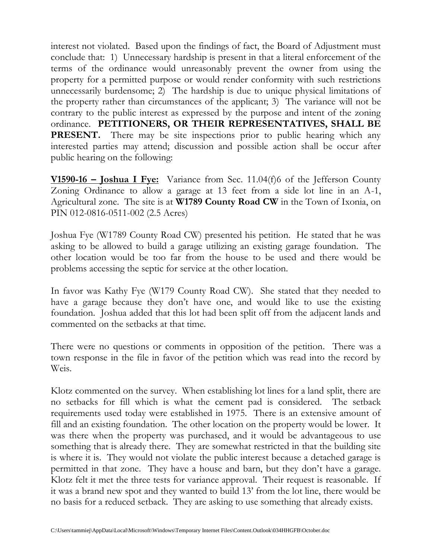interest not violated. Based upon the findings of fact, the Board of Adjustment must conclude that: 1) Unnecessary hardship is present in that a literal enforcement of the terms of the ordinance would unreasonably prevent the owner from using the property for a permitted purpose or would render conformity with such restrictions unnecessarily burdensome; 2) The hardship is due to unique physical limitations of the property rather than circumstances of the applicant; 3) The variance will not be contrary to the public interest as expressed by the purpose and intent of the zoning ordinance. **PETITIONERS, OR THEIR REPRESENTATIVES, SHALL BE**  PRESENT. There may be site inspections prior to public hearing which any interested parties may attend; discussion and possible action shall be occur after public hearing on the following:

**V1590-16 – Joshua I Fye:** Variance from Sec. 11.04(f)6 of the Jefferson County Zoning Ordinance to allow a garage at 13 feet from a side lot line in an A-1, Agricultural zone. The site is at **W1789 County Road CW** in the Town of Ixonia, on PIN 012-0816-0511-002 (2.5 Acres)

Joshua Fye (W1789 County Road CW) presented his petition. He stated that he was asking to be allowed to build a garage utilizing an existing garage foundation. The other location would be too far from the house to be used and there would be problems accessing the septic for service at the other location.

In favor was Kathy Fye (W179 County Road CW). She stated that they needed to have a garage because they don't have one, and would like to use the existing foundation. Joshua added that this lot had been split off from the adjacent lands and commented on the setbacks at that time.

There were no questions or comments in opposition of the petition. There was a town response in the file in favor of the petition which was read into the record by Weis.

Klotz commented on the survey. When establishing lot lines for a land split, there are no setbacks for fill which is what the cement pad is considered. The setback requirements used today were established in 1975. There is an extensive amount of fill and an existing foundation. The other location on the property would be lower. It was there when the property was purchased, and it would be advantageous to use something that is already there. They are somewhat restricted in that the building site is where it is. They would not violate the public interest because a detached garage is permitted in that zone. They have a house and barn, but they don't have a garage. Klotz felt it met the three tests for variance approval. Their request is reasonable. If it was a brand new spot and they wanted to build 13' from the lot line, there would be no basis for a reduced setback. They are asking to use something that already exists.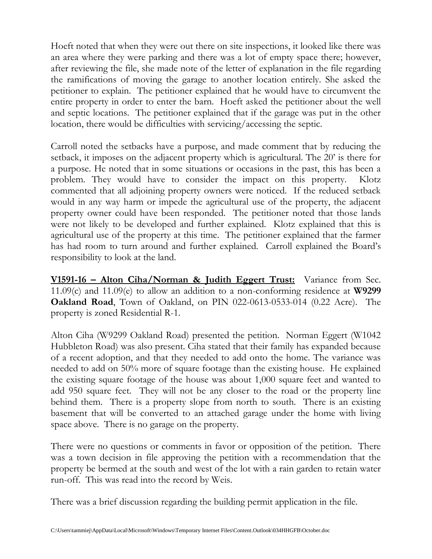Hoeft noted that when they were out there on site inspections, it looked like there was an area where they were parking and there was a lot of empty space there; however, after reviewing the file, she made note of the letter of explanation in the file regarding the ramifications of moving the garage to another location entirely. She asked the petitioner to explain. The petitioner explained that he would have to circumvent the entire property in order to enter the barn. Hoeft asked the petitioner about the well and septic locations. The petitioner explained that if the garage was put in the other location, there would be difficulties with servicing/accessing the septic.

Carroll noted the setbacks have a purpose, and made comment that by reducing the setback, it imposes on the adjacent property which is agricultural. The 20' is there for a purpose. He noted that in some situations or occasions in the past, this has been a problem. They would have to consider the impact on this property. Klotz commented that all adjoining property owners were noticed. If the reduced setback would in any way harm or impede the agricultural use of the property, the adjacent property owner could have been responded. The petitioner noted that those lands were not likely to be developed and further explained. Klotz explained that this is agricultural use of the property at this time. The petitioner explained that the farmer has had room to turn around and further explained. Carroll explained the Board's responsibility to look at the land.

**V1591-16 – Alton Ciha/Norman & Judith Eggert Trust:** Variance from Sec. 11.09(c) and 11.09(e) to allow an addition to a non-conforming residence at **W9299 Oakland Road**, Town of Oakland, on PIN 022-0613-0533-014 (0.22 Acre). The property is zoned Residential R-1.

Alton Ciha (W9299 Oakland Road) presented the petition. Norman Eggert (W1042 Hubbleton Road) was also present. Ciha stated that their family has expanded because of a recent adoption, and that they needed to add onto the home. The variance was needed to add on 50% more of square footage than the existing house. He explained the existing square footage of the house was about 1,000 square feet and wanted to add 950 square feet. They will not be any closer to the road or the property line behind them. There is a property slope from north to south. There is an existing basement that will be converted to an attached garage under the home with living space above. There is no garage on the property.

There were no questions or comments in favor or opposition of the petition. There was a town decision in file approving the petition with a recommendation that the property be bermed at the south and west of the lot with a rain garden to retain water run-off. This was read into the record by Weis.

There was a brief discussion regarding the building permit application in the file.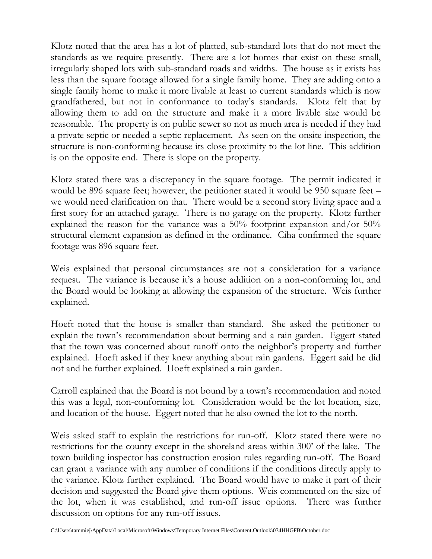Klotz noted that the area has a lot of platted, sub-standard lots that do not meet the standards as we require presently. There are a lot homes that exist on these small, irregularly shaped lots with sub-standard roads and widths. The house as it exists has less than the square footage allowed for a single family home. They are adding onto a single family home to make it more livable at least to current standards which is now grandfathered, but not in conformance to today's standards. Klotz felt that by allowing them to add on the structure and make it a more livable size would be reasonable. The property is on public sewer so not as much area is needed if they had a private septic or needed a septic replacement. As seen on the onsite inspection, the structure is non-conforming because its close proximity to the lot line. This addition is on the opposite end. There is slope on the property.

Klotz stated there was a discrepancy in the square footage. The permit indicated it would be 896 square feet; however, the petitioner stated it would be 950 square feet – we would need clarification on that. There would be a second story living space and a first story for an attached garage. There is no garage on the property. Klotz further explained the reason for the variance was a 50% footprint expansion and/or 50% structural element expansion as defined in the ordinance. Ciha confirmed the square footage was 896 square feet.

Weis explained that personal circumstances are not a consideration for a variance request. The variance is because it's a house addition on a non-conforming lot, and the Board would be looking at allowing the expansion of the structure. Weis further explained.

Hoeft noted that the house is smaller than standard. She asked the petitioner to explain the town's recommendation about berming and a rain garden. Eggert stated that the town was concerned about runoff onto the neighbor's property and further explained. Hoeft asked if they knew anything about rain gardens. Eggert said he did not and he further explained. Hoeft explained a rain garden.

Carroll explained that the Board is not bound by a town's recommendation and noted this was a legal, non-conforming lot. Consideration would be the lot location, size, and location of the house. Eggert noted that he also owned the lot to the north.

Weis asked staff to explain the restrictions for run-off. Klotz stated there were no restrictions for the county except in the shoreland areas within 300' of the lake. The town building inspector has construction erosion rules regarding run-off. The Board can grant a variance with any number of conditions if the conditions directly apply to the variance. Klotz further explained. The Board would have to make it part of their decision and suggested the Board give them options. Weis commented on the size of the lot, when it was established, and run-off issue options. There was further discussion on options for any run-off issues.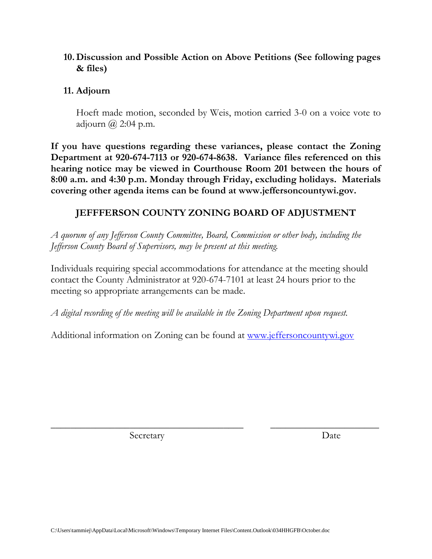## **10. Discussion and Possible Action on Above Petitions (See following pages & files)**

#### **11. Adjourn**

Hoeft made motion, seconded by Weis, motion carried 3-0 on a voice vote to adjourn  $\omega$  2:04 p.m.

**If you have questions regarding these variances, please contact the Zoning Department at 920-674-7113 or 920-674-8638. Variance files referenced on this hearing notice may be viewed in Courthouse Room 201 between the hours of 8:00 a.m. and 4:30 p.m. Monday through Friday, excluding holidays. Materials covering other agenda items can be found at www.jeffersoncountywi.gov.**

# **JEFFFERSON COUNTY ZONING BOARD OF ADJUSTMENT**

*A quorum of any Jefferson County Committee, Board, Commission or other body, including the Jefferson County Board of Supervisors, may be present at this meeting.*

Individuals requiring special accommodations for attendance at the meeting should contact the County Administrator at 920-674-7101 at least 24 hours prior to the meeting so appropriate arrangements can be made.

*A digital recording of the meeting will be available in the Zoning Department upon request.*

Additional information on Zoning can be found at [www.jeffersoncountywi.gov](http://www.jeffersoncountywi.gov/)

\_\_\_\_\_\_\_\_\_\_\_\_\_\_\_\_\_\_\_\_\_\_\_\_\_\_\_\_\_\_\_\_\_\_\_\_\_\_\_ \_\_\_\_\_\_\_\_\_\_\_\_\_\_\_\_\_\_\_\_\_\_

Secretary Date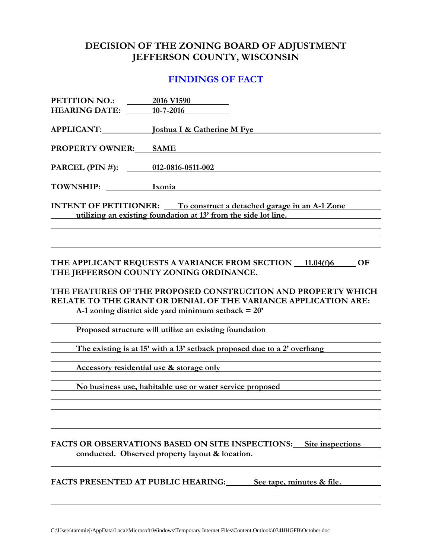# **DECISION OF THE ZONING BOARD OF ADJUSTMENT JEFFERSON COUNTY, WISCONSIN**

#### **FINDINGS OF FACT**

| PETITION NO.:<br><b>HEARING DATE:</b>     | 2016 V1590<br>$10 - 7 - 2016$                                                                                                                                                                                                                                                                               |
|-------------------------------------------|-------------------------------------------------------------------------------------------------------------------------------------------------------------------------------------------------------------------------------------------------------------------------------------------------------------|
| <b>APPLICANT:</b>                         | <b>Joshua I &amp; Catherine M Fye</b>                                                                                                                                                                                                                                                                       |
| <b>PROPERTY OWNER:</b>                    | <b>SAME</b>                                                                                                                                                                                                                                                                                                 |
| PARCEL (PIN #):                           | 012-0816-0511-002                                                                                                                                                                                                                                                                                           |
| <b>TOWNSHIP:</b>                          | Ixonia                                                                                                                                                                                                                                                                                                      |
|                                           | <b>INTENT OF PETITIONER:</b> To construct a detached garage in an A-1 Zone                                                                                                                                                                                                                                  |
|                                           | utilizing an existing foundation at 13' from the side lot line.                                                                                                                                                                                                                                             |
|                                           |                                                                                                                                                                                                                                                                                                             |
|                                           | THE APPLICANT REQUESTS A VARIANCE FROM SECTION 11.04(f)6<br><b>OF</b><br>THE JEFFERSON COUNTY ZONING ORDINANCE.<br>THE FEATURES OF THE PROPOSED CONSTRUCTION AND PROPERTY WHICH<br>RELATE TO THE GRANT OR DENIAL OF THE VARIANCE APPLICATION ARE:<br>A-1 zoning district side yard minimum setback $= 20$ ' |
|                                           |                                                                                                                                                                                                                                                                                                             |
|                                           | Proposed structure will utilize an existing foundation                                                                                                                                                                                                                                                      |
|                                           | The existing is at 15' with a 13' setback proposed due to a 2' overhang                                                                                                                                                                                                                                     |
|                                           | Accessory residential use & storage only                                                                                                                                                                                                                                                                    |
|                                           | No business use, habitable use or water service proposed                                                                                                                                                                                                                                                    |
|                                           |                                                                                                                                                                                                                                                                                                             |
|                                           | FACTS OR OBSERVATIONS BASED ON SITE INSPECTIONS:<br>Site inspections<br>conducted. Observed property layout & location.                                                                                                                                                                                     |
| <b>FACTS PRESENTED AT PUBLIC HEARING:</b> | See tape, minutes & file.                                                                                                                                                                                                                                                                                   |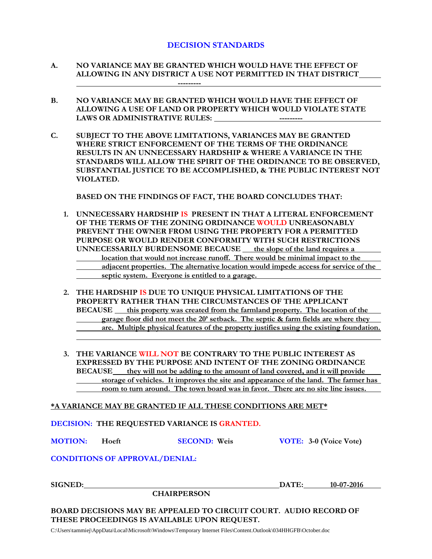#### **DECISION STANDARDS**

- **A. NO VARIANCE MAY BE GRANTED WHICH WOULD HAVE THE EFFECT OF ALLOWING IN ANY DISTRICT A USE NOT PERMITTED IN THAT DISTRICT ---------**
- **B. NO VARIANCE MAY BE GRANTED WHICH WOULD HAVE THE EFFECT OF ALLOWING A USE OF LAND OR PROPERTY WHICH WOULD VIOLATE STATE LAWS OR ADMINISTRATIVE RULES:**
- **C. SUBJECT TO THE ABOVE LIMITATIONS, VARIANCES MAY BE GRANTED WHERE STRICT ENFORCEMENT OF THE TERMS OF THE ORDINANCE RESULTS IN AN UNNECESSARY HARDSHIP & WHERE A VARIANCE IN THE STANDARDS WILL ALLOW THE SPIRIT OF THE ORDINANCE TO BE OBSERVED, SUBSTANTIAL JUSTICE TO BE ACCOMPLISHED, & THE PUBLIC INTEREST NOT VIOLATED.**

**BASED ON THE FINDINGS OF FACT, THE BOARD CONCLUDES THAT:**

- **1. UNNECESSARY HARDSHIP IS PRESENT IN THAT A LITERAL ENFORCEMENT OF THE TERMS OF THE ZONING ORDINANCE WOULD UNREASONABLY PREVENT THE OWNER FROM USING THE PROPERTY FOR A PERMITTED PURPOSE OR WOULD RENDER CONFORMITY WITH SUCH RESTRICTIONS UNNECESSARILY BURDENSOME BECAUSE the slope of the land requires a location that would not increase runoff. There would be minimal impact to the adjacent properties. The alternative location would impede access for service of the septic system. Everyone is entitled to a garage.**
- **2. THE HARDSHIP IS DUE TO UNIQUE PHYSICAL LIMITATIONS OF THE PROPERTY RATHER THAN THE CIRCUMSTANCES OF THE APPLICANT BECAUSE** this property was created from the farmland property. The location of the **garage floor did not meet the 20' setback. The septic & farm fields are where they are. Multiple physical features of the property justifies using the existing foundation.**
- **3. THE VARIANCE WILL NOT BE CONTRARY TO THE PUBLIC INTEREST AS EXPRESSED BY THE PURPOSE AND INTENT OF THE ZONING ORDINANCE BECAUSE they will not be adding to the amount of land covered, and it will provide storage of vehicles. It improves the site and appearance of the land. The farmer has room to turn around. The town board was in favor. There are no site line issues.**

**\*A VARIANCE MAY BE GRANTED IF ALL THESE CONDITIONS ARE MET\***

**DECISION: THE REQUESTED VARIANCE IS GRANTED.**

**MOTION: Hoeft SECOND: Weis VOTE: 3-0 (Voice Vote)**

**CONDITIONS OF APPROVAL/DENIAL:**

| SIGNED: |  |
|---------|--|
|---------|--|

**SIGNED: DATE: 10-07-2016**

**BOARD DECISIONS MAY BE APPEALED TO CIRCUIT COURT. AUDIO RECORD OF THESE PROCEEDINGS IS AVAILABLE UPON REQUEST.**

C:\Users\tammiej\AppData\Local\Microsoft\Windows\Temporary Internet Files\Content.Outlook\034HHGFB\October.doc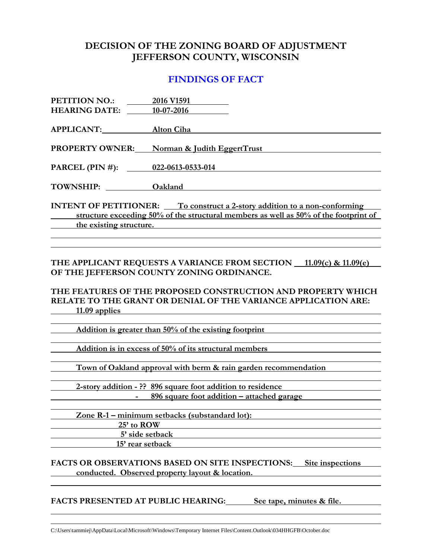## **DECISION OF THE ZONING BOARD OF ADJUSTMENT JEFFERSON COUNTY, WISCONSIN**

## **FINDINGS OF FACT**

| PETITION NO.:<br><b>HEARING DATE:</b>                                                                                                                                                               | 2016 V1591<br>10-07-2016                                                                                                                                                    |  |
|-----------------------------------------------------------------------------------------------------------------------------------------------------------------------------------------------------|-----------------------------------------------------------------------------------------------------------------------------------------------------------------------------|--|
| <b>APPLICANT:</b>                                                                                                                                                                                   | Alton Ciha                                                                                                                                                                  |  |
| <b>PROPERTY OWNER:</b>                                                                                                                                                                              | Norman & Judith EggertTrust                                                                                                                                                 |  |
| PARCEL (PIN #):                                                                                                                                                                                     | 022-0613-0533-014                                                                                                                                                           |  |
| <b>TOWNSHIP:</b>                                                                                                                                                                                    | Oakland                                                                                                                                                                     |  |
| <b>INTENT OF PETITIONER:</b> To construct a 2-story addition to a non-conforming<br>structure exceeding 50% of the structural members as well as 50% of the footprint of<br>the existing structure. |                                                                                                                                                                             |  |
|                                                                                                                                                                                                     | THE APPLICANT REQUESTS A VARIANCE FROM SECTION 11.09(c) & 11.09(e)                                                                                                          |  |
| $11.09$ applies                                                                                                                                                                                     | OF THE JEFFERSON COUNTY ZONING ORDINANCE.<br>THE FEATURES OF THE PROPOSED CONSTRUCTION AND PROPERTY WHICH<br>RELATE TO THE GRANT OR DENIAL OF THE VARIANCE APPLICATION ARE: |  |
|                                                                                                                                                                                                     | Addition is greater than 50% of the existing footprint                                                                                                                      |  |
| Addition is in excess of 50% of its structural members                                                                                                                                              |                                                                                                                                                                             |  |
| Town of Oakland approval with berm & rain garden recommendation                                                                                                                                     |                                                                                                                                                                             |  |
| 2-story addition - ?? 896 square foot addition to residence<br>896 square foot addition – attached garage                                                                                           |                                                                                                                                                                             |  |
| 25' to ROW<br>5' side setback<br>15' rear setback                                                                                                                                                   | Zone R-1 - minimum setbacks (substandard lot):                                                                                                                              |  |
|                                                                                                                                                                                                     | FACTS OR OBSERVATIONS BASED ON SITE INSPECTIONS:<br>Site inspections<br>conducted. Observed property layout & location.                                                     |  |

**FACTS PRESENTED AT PUBLIC HEARING: See tape, minutes & file.**

C:\Users\tammiej\AppData\Local\Microsoft\Windows\Temporary Internet Files\Content.Outlook\034HHGFB\October.doc